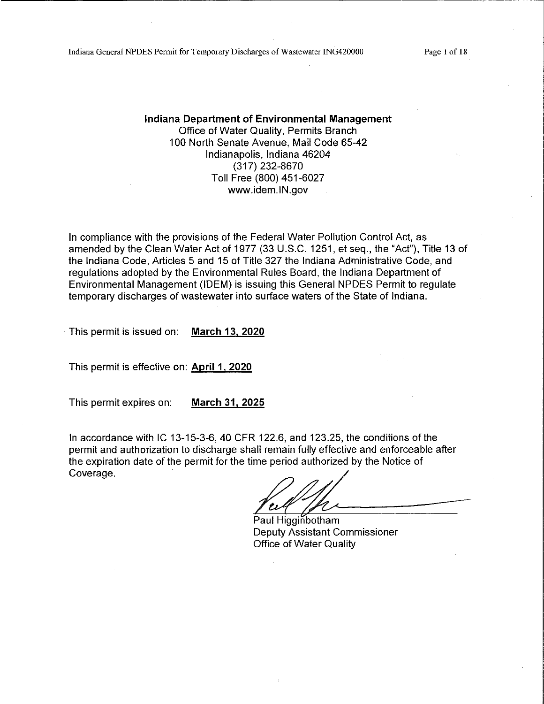Indiana General NPDES Permit for Temporary Discharges of Wastewater ING420000

Page 1 of 18

Indiana Department of Environmental Management Office of Water Quality, Permits Branch 100 North Senate Avenue, Mail Code 65-42 Indianapolis, Indiana 46204 (317) 232-8670 Toll Free (800) 451-6027 www.idem.IN.gov

In compliance with the provisions of the Federal Water Pollution Control Act, as amended by the Clean Water Act of 1977 (33 U.S.C. 1251, et seq., the "Act"), Title 13 of the Indiana Code, Articles 5 and 15 of Title 327 the Indiana Administrative Code, and regulations adopted by the Environmental Rules Board, the Indiana Department of Environmental Management (IDEM) is issuing this General NPDES Permit to regulate temporary discharges of wastewater into surface waters of the State of Indiana.

This permit is issued on: March 13, 2020

This permit is effective on: April 1, 2020

This permit expires on: March 31, 2025

In accordance with IC 13-15-3-6, 40 CFR 122.6, and 123.25, the conditions of the permit and authorization to discharge shall remain fully effective and enforceable after the expiration date of the permit for the time period authorized by the Notice of Coverage.

Paul Higginbotham Deputy Assistant Commissioner **Office of Water Quality**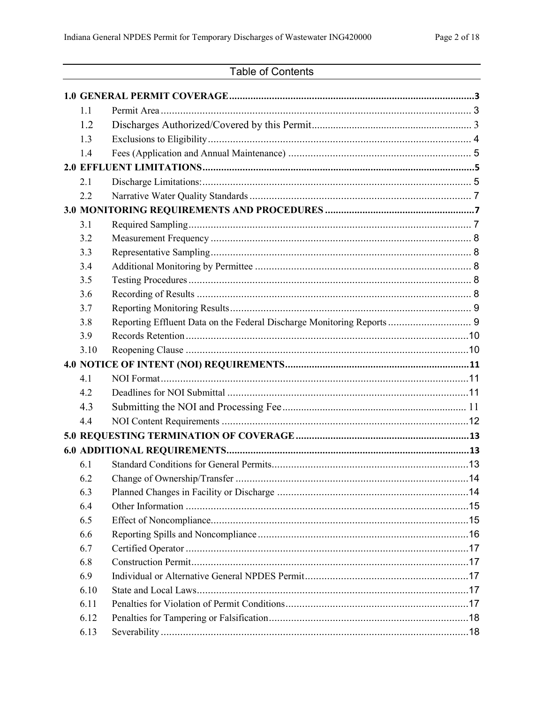# Table of Contents

| 1.1  |                                                                        |  |
|------|------------------------------------------------------------------------|--|
| 1.2  |                                                                        |  |
| 1.3  |                                                                        |  |
| 1.4  |                                                                        |  |
|      |                                                                        |  |
| 2.1  |                                                                        |  |
| 2.2  |                                                                        |  |
|      |                                                                        |  |
| 3.1  |                                                                        |  |
| 3.2  |                                                                        |  |
| 3.3  |                                                                        |  |
| 3.4  |                                                                        |  |
| 3.5  |                                                                        |  |
| 3.6  |                                                                        |  |
| 3.7  |                                                                        |  |
| 3.8  | Reporting Effluent Data on the Federal Discharge Monitoring Reports  9 |  |
| 3.9  |                                                                        |  |
| 3.10 |                                                                        |  |
|      |                                                                        |  |
| 4.1  |                                                                        |  |
| 4.2  |                                                                        |  |
| 4.3  |                                                                        |  |
| 4.4  |                                                                        |  |
|      |                                                                        |  |
|      |                                                                        |  |
| 6.1  |                                                                        |  |
| 6.2  |                                                                        |  |
| 6.3  |                                                                        |  |
| 6.4  |                                                                        |  |
| 6.5  |                                                                        |  |
| 6.6  |                                                                        |  |
| 6.7  |                                                                        |  |
| 6.8  |                                                                        |  |
| 6.9  |                                                                        |  |
| 6.10 |                                                                        |  |
| 6.11 |                                                                        |  |
| 6.12 |                                                                        |  |
| 6.13 |                                                                        |  |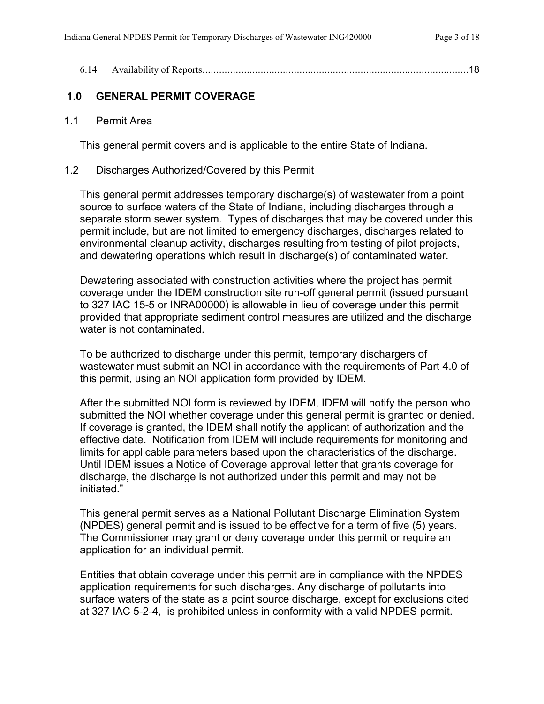| 6.14 |  |  |
|------|--|--|
|      |  |  |

# <span id="page-2-0"></span>**1.0 GENERAL PERMIT COVERAGE**

<span id="page-2-1"></span>1.1 Permit Area

This general permit covers and is applicable to the entire State of Indiana.

#### <span id="page-2-2"></span>1.2 Discharges Authorized/Covered by this Permit

This general permit addresses temporary discharge(s) of wastewater from a point source to surface waters of the State of Indiana, including discharges through a separate storm sewer system. Types of discharges that may be covered under this permit include, but are not limited to emergency discharges, discharges related to environmental cleanup activity, discharges resulting from testing of pilot projects, and dewatering operations which result in discharge(s) of contaminated water.

Dewatering associated with construction activities where the project has permit coverage under the IDEM construction site run-off general permit (issued pursuant to 327 IAC 15-5 or INRA00000) is allowable in lieu of coverage under this permit provided that appropriate sediment control measures are utilized and the discharge water is not contaminated.

To be authorized to discharge under this permit, temporary dischargers of wastewater must submit an NOI in accordance with the requirements of Part 4.0 of this permit, using an NOI application form provided by IDEM.

After the submitted NOI form is reviewed by IDEM, IDEM will notify the person who submitted the NOI whether coverage under this general permit is granted or denied. If coverage is granted, the IDEM shall notify the applicant of authorization and the effective date. Notification from IDEM will include requirements for monitoring and limits for applicable parameters based upon the characteristics of the discharge. Until IDEM issues a Notice of Coverage approval letter that grants coverage for discharge, the discharge is not authorized under this permit and may not be initiated."

This general permit serves as a National Pollutant Discharge Elimination System (NPDES) general permit and is issued to be effective for a term of five (5) years. The Commissioner may grant or deny coverage under this permit or require an application for an individual permit.

Entities that obtain coverage under this permit are in compliance with the NPDES application requirements for such discharges. Any discharge of pollutants into surface waters of the state as a point source discharge, except for exclusions cited at 327 IAC 5-2-4, is prohibited unless in conformity with a valid NPDES permit.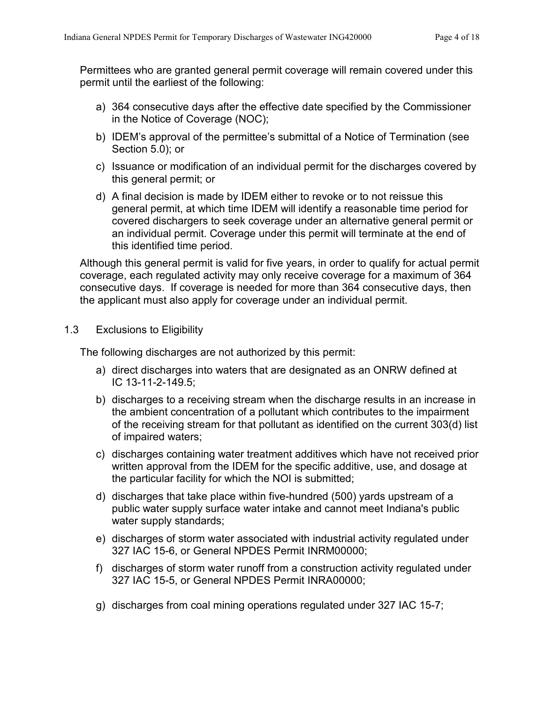Permittees who are granted general permit coverage will remain covered under this permit until the earliest of the following:

- a) 364 consecutive days after the effective date specified by the Commissioner in the Notice of Coverage (NOC);
- b) IDEM's approval of the permittee's submittal of a Notice of Termination (see Section 5.0); or
- c) Issuance or modification of an individual permit for the discharges covered by this general permit; or
- d) A final decision is made by IDEM either to revoke or to not reissue this general permit, at which time IDEM will identify a reasonable time period for covered dischargers to seek coverage under an alternative general permit or an individual permit. Coverage under this permit will terminate at the end of this identified time period.

Although this general permit is valid for five years, in order to qualify for actual permit coverage, each regulated activity may only receive coverage for a maximum of 364 consecutive days. If coverage is needed for more than 364 consecutive days, then the applicant must also apply for coverage under an individual permit.

## <span id="page-3-0"></span>1.3 Exclusions to Eligibility

The following discharges are not authorized by this permit:

- a) direct discharges into waters that are designated as an ONRW defined at IC 13-11-2-149.5;
- b) discharges to a receiving stream when the discharge results in an increase in the ambient concentration of a pollutant which contributes to the impairment of the receiving stream for that pollutant as identified on the current 303(d) list of impaired waters;
- c) discharges containing water treatment additives which have not received prior written approval from the IDEM for the specific additive, use, and dosage at the particular facility for which the NOI is submitted;
- d) discharges that take place within five-hundred (500) yards upstream of a public water supply surface water intake and cannot meet Indiana's public water supply standards;
- e) discharges of storm water associated with industrial activity regulated under 327 IAC 15-6, or General NPDES Permit INRM00000;
- f) discharges of storm water runoff from a construction activity regulated under 327 IAC 15-5, or General NPDES Permit INRA00000;
- g) discharges from coal mining operations regulated under 327 IAC 15-7;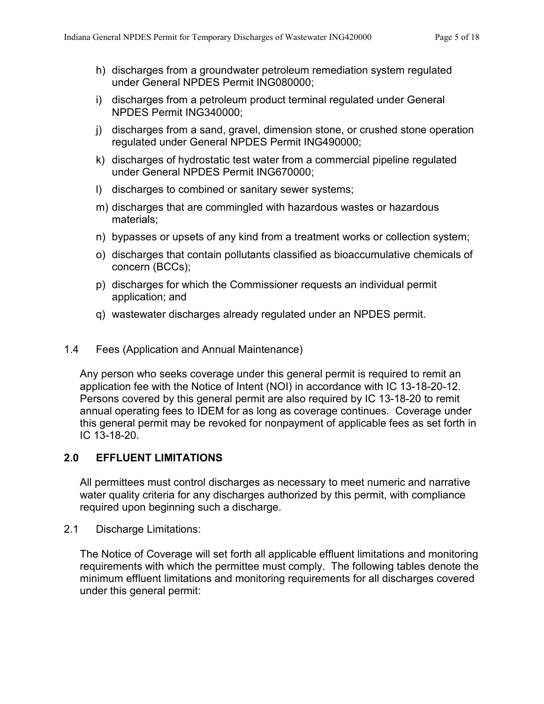- h) discharges from a groundwater petroleum remediation system regulated under General NPDES Permit ING080000;
- i) discharges from a petroleum product terminal regulated under General NPDES Permit ING340000;
- j) discharges from a sand, gravel, dimension stone, or crushed stone operation regulated under General NPDES Permit ING490000;
- k) discharges of hydrostatic test water from a commercial pipeline regulated under General NPDES Permit ING670000;
- l) discharges to combined or sanitary sewer systems;
- m) discharges that are commingled with hazardous wastes or hazardous materials;
- n) bypasses or upsets of any kind from a treatment works or collection system;
- o) discharges that contain pollutants classified as bioaccumulative chemicals of concern (BCCs);
- p) discharges for which the Commissioner requests an individual permit application; and
- q) wastewater discharges already regulated under an NPDES permit.

# <span id="page-4-0"></span>1.4 Fees (Application and Annual Maintenance)

Any person who seeks coverage under this general permit is required to remit an application fee with the Notice of Intent (NOI) in accordance with IC 13-18-20-12. Persons covered by this general permit are also required by IC 13-18-20 to remit annual operating fees to IDEM for as long as coverage continues. Coverage under this general permit may be revoked for nonpayment of applicable fees as set forth in IC 13-18-20.

# <span id="page-4-1"></span>**2.0 EFFLUENT LIMITATIONS**

All permittees must control discharges as necessary to meet numeric and narrative water quality criteria for any discharges authorized by this permit, with compliance required upon beginning such a discharge.

<span id="page-4-2"></span>2.1 Discharge Limitations:

The Notice of Coverage will set forth all applicable effluent limitations and monitoring requirements with which the permittee must comply. The following tables denote the minimum effluent limitations and monitoring requirements for all discharges covered under this general permit: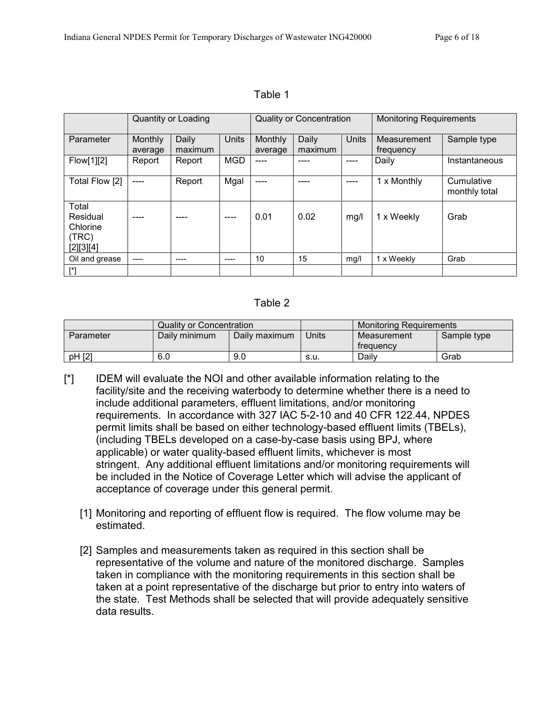|                                                     | <b>Quantity or Loading</b> |                  | <b>Quality or Concentration</b> |                    |                  | <b>Monitoring Requirements</b> |                          |                             |
|-----------------------------------------------------|----------------------------|------------------|---------------------------------|--------------------|------------------|--------------------------------|--------------------------|-----------------------------|
| Parameter                                           | Monthly<br>average         | Daily<br>maximum | Units                           | Monthly<br>average | Daily<br>maximum | <b>Units</b>                   | Measurement<br>frequency | Sample type                 |
| Flow[1][2]                                          | Report                     | Report           | <b>MGD</b>                      | ----               | ----             | ----                           | Daily                    | Instantaneous               |
| Total Flow [2]                                      | ----                       | Report           | Mgal                            | ----               |                  |                                | 1 x Monthly              | Cumulative<br>monthly total |
| Total<br>Residual<br>Chlorine<br>(TRC)<br>[2][3][4] | ----                       | ----             | ----                            | 0.01               | 0.02             | mg/l                           | 1 x Weekly               | Grab                        |
| Oil and grease                                      | ----                       | ----             | ----                            | 10                 | 15               | mg/l                           | 1 x Weekly               | Grab                        |

Table 1

#### Table 2

|           | Quality or Concentration |               |        | <b>Monitoring Requirements</b> |             |
|-----------|--------------------------|---------------|--------|--------------------------------|-------------|
| Parameter | Daily minimum            | Daily maximum | Units  | Measurement<br>trequency       | Sample type |
| pH [2]    | 6.0                      | 9.0           | - S.U. | Dailv                          | Grab        |

- [\*] IDEM will evaluate the NOI and other available information relating to the facility/site and the receiving waterbody to determine whether there is a need to include additional parameters, effluent limitations, and/or monitoring requirements. In accordance with 327 IAC 5-2-10 and 40 CFR 122.44, NPDES permit limits shall be based on either technology-based effluent limits (TBELs), (including TBELs developed on a case-by-case basis using BPJ, where applicable) or water quality-based effluent limits, whichever is most stringent. Any additional effluent limitations and/or monitoring requirements will be included in the Notice of Coverage Letter which will advise the applicant of acceptance of coverage under this general permit.
	- [1] Monitoring and reporting of effluent flow is required. The flow volume may be estimated.
	- [2] Samples and measurements taken as required in this section shall be representative of the volume and nature of the monitored discharge. Samples taken in compliance with the monitoring requirements in this section shall be taken at a point representative of the discharge but prior to entry into waters of the state. Test Methods shall be selected that will provide adequately sensitive data results.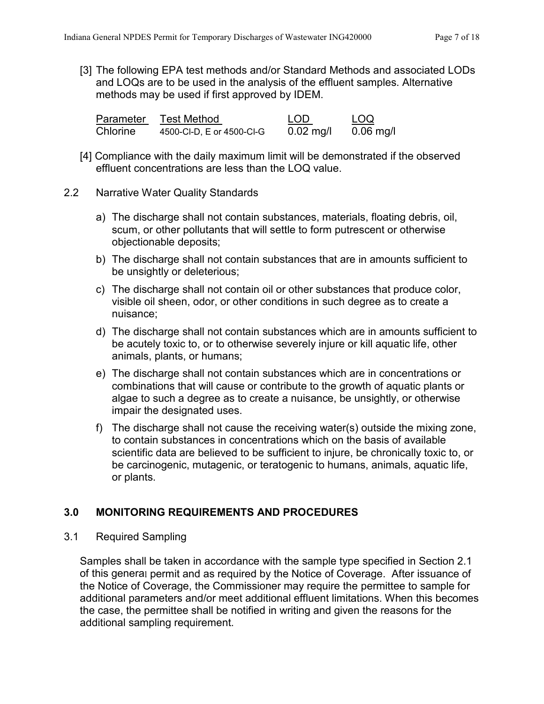[3] The following EPA test methods and/or Standard Methods and associated LODs and LOQs are to be used in the analysis of the effluent samples. Alternative methods may be used if first approved by IDEM.

| Parameter | <b>Test Method</b>        | <b>LOD</b>          | LOQ         |
|-----------|---------------------------|---------------------|-------------|
| Chlorine  | 4500-CI-D, E or 4500-CI-G | $0.02 \text{ mg/l}$ | $0.06$ mg/l |

[4] Compliance with the daily maximum limit will be demonstrated if the observed effluent concentrations are less than the LOQ value.

## <span id="page-6-0"></span>2.2 Narrative Water Quality Standards

- a) The discharge shall not contain substances, materials, floating debris, oil, scum, or other pollutants that will settle to form putrescent or otherwise objectionable deposits;
- b) The discharge shall not contain substances that are in amounts sufficient to be unsightly or deleterious;
- c) The discharge shall not contain oil or other substances that produce color, visible oil sheen, odor, or other conditions in such degree as to create a nuisance;
- d) The discharge shall not contain substances which are in amounts sufficient to be acutely toxic to, or to otherwise severely injure or kill aquatic life, other animals, plants, or humans;
- e) The discharge shall not contain substances which are in concentrations or combinations that will cause or contribute to the growth of aquatic plants or algae to such a degree as to create a nuisance, be unsightly, or otherwise impair the designated uses.
- f) The discharge shall not cause the receiving water(s) outside the mixing zone, to contain substances in concentrations which on the basis of available scientific data are believed to be sufficient to injure, be chronically toxic to, or be carcinogenic, mutagenic, or teratogenic to humans, animals, aquatic life, or plants.

# <span id="page-6-1"></span>**3.0 MONITORING REQUIREMENTS AND PROCEDURES**

#### <span id="page-6-2"></span>3.1 Required Sampling

Samples shall be taken in accordance with the sample type specified in Section 2.1 of this general permit and as required by the Notice of Coverage. After issuance of the Notice of Coverage, the Commissioner may require the permittee to sample for additional parameters and/or meet additional effluent limitations. When this becomes the case, the permittee shall be notified in writing and given the reasons for the additional sampling requirement.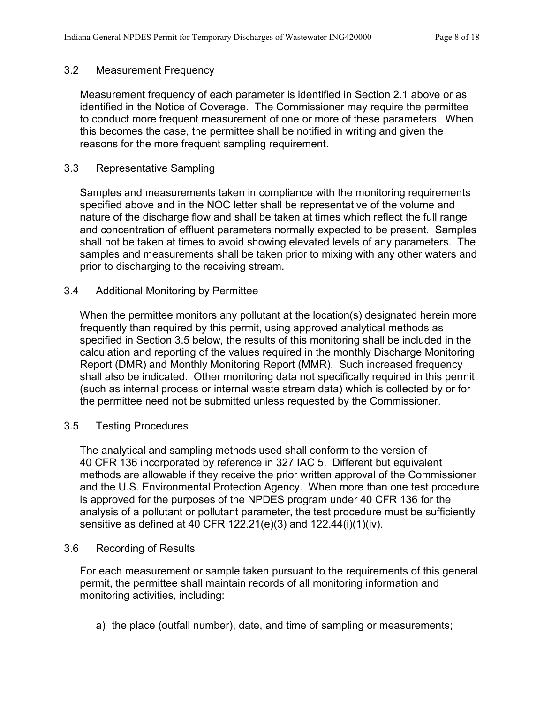## <span id="page-7-0"></span>3.2 Measurement Frequency

Measurement frequency of each parameter is identified in Section 2.1 above or as identified in the Notice of Coverage. The Commissioner may require the permittee to conduct more frequent measurement of one or more of these parameters. When this becomes the case, the permittee shall be notified in writing and given the reasons for the more frequent sampling requirement.

#### <span id="page-7-1"></span>3.3 Representative Sampling

Samples and measurements taken in compliance with the monitoring requirements specified above and in the NOC letter shall be representative of the volume and nature of the discharge flow and shall be taken at times which reflect the full range and concentration of effluent parameters normally expected to be present. Samples shall not be taken at times to avoid showing elevated levels of any parameters. The samples and measurements shall be taken prior to mixing with any other waters and prior to discharging to the receiving stream.

#### <span id="page-7-2"></span>3.4 Additional Monitoring by Permittee

When the permittee monitors any pollutant at the location(s) designated herein more frequently than required by this permit, using approved analytical methods as specified in Section 3.5 below, the results of this monitoring shall be included in the calculation and reporting of the values required in the monthly Discharge Monitoring Report (DMR) and Monthly Monitoring Report (MMR). Such increased frequency shall also be indicated. Other monitoring data not specifically required in this permit (such as internal process or internal waste stream data) which is collected by or for the permittee need not be submitted unless requested by the Commissioner.

#### <span id="page-7-3"></span>3.5 Testing Procedures

The analytical and sampling methods used shall conform to the version of 40 CFR 136 incorporated by reference in 327 IAC 5. Different but equivalent methods are allowable if they receive the prior written approval of the Commissioner and the U.S. Environmental Protection Agency. When more than one test procedure is approved for the purposes of the NPDES program under 40 CFR 136 for the analysis of a pollutant or pollutant parameter, the test procedure must be sufficiently sensitive as defined at 40 CFR 122.21(e)(3) and 122.44(i)(1)(iv).

#### <span id="page-7-4"></span>3.6 Recording of Results

For each measurement or sample taken pursuant to the requirements of this general permit, the permittee shall maintain records of all monitoring information and monitoring activities, including:

a) the place (outfall number), date, and time of sampling or measurements;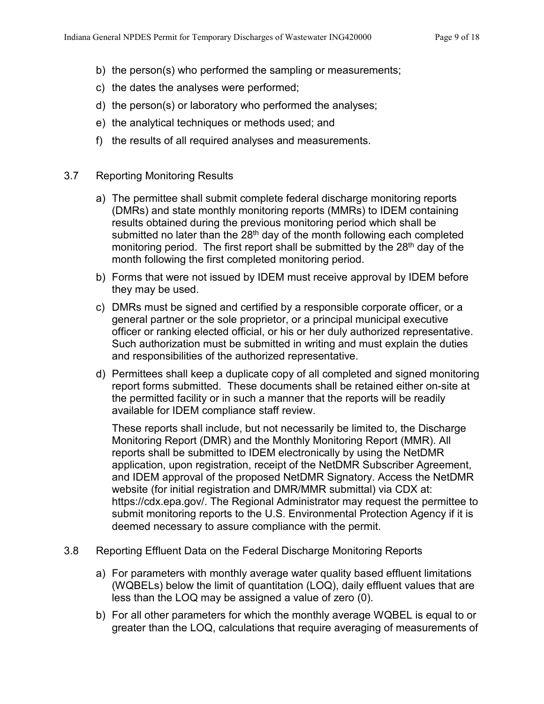- b) the person(s) who performed the sampling or measurements;
- c) the dates the analyses were performed;
- d) the person(s) or laboratory who performed the analyses;
- e) the analytical techniques or methods used; and
- f) the results of all required analyses and measurements.

#### <span id="page-8-0"></span>3.7 Reporting Monitoring Results

- a) The permittee shall submit complete federal discharge monitoring reports (DMRs) and state monthly monitoring reports (MMRs) to IDEM containing results obtained during the previous monitoring period which shall be submitted no later than the  $28<sup>th</sup>$  day of the month following each completed monitoring period. The first report shall be submitted by the 28<sup>th</sup> day of the month following the first completed monitoring period.
- b) Forms that were not issued by IDEM must receive approval by IDEM before they may be used.
- c) DMRs must be signed and certified by a responsible corporate officer, or a general partner or the sole proprietor, or a principal municipal executive officer or ranking elected official, or his or her duly authorized representative. Such authorization must be submitted in writing and must explain the duties and responsibilities of the authorized representative.
- d) Permittees shall keep a duplicate copy of all completed and signed monitoring report forms submitted. These documents shall be retained either on-site at the permitted facility or in such a manner that the reports will be readily available for IDEM compliance staff review.

These reports shall include, but not necessarily be limited to, the Discharge Monitoring Report (DMR) and the Monthly Monitoring Report (MMR). All reports shall be submitted to IDEM electronically by using the NetDMR application, upon registration, receipt of the NetDMR Subscriber Agreement, and IDEM approval of the proposed NetDMR Signatory. Access the NetDMR website (for initial registration and DMR/MMR submittal) via CDX at: https://cdx.epa.gov/. The Regional Administrator may request the permittee to submit monitoring reports to the U.S. Environmental Protection Agency if it is deemed necessary to assure compliance with the permit.

- <span id="page-8-1"></span>3.8 Reporting Effluent Data on the Federal Discharge Monitoring Reports
	- a) For parameters with monthly average water quality based effluent limitations (WQBELs) below the limit of quantitation (LOQ), daily effluent values that are less than the LOQ may be assigned a value of zero (0).
	- b) For all other parameters for which the monthly average WQBEL is equal to or greater than the LOQ, calculations that require averaging of measurements of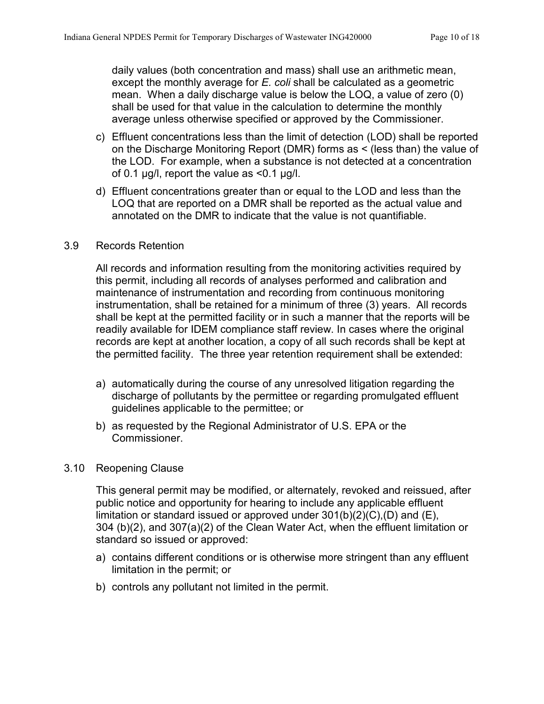daily values (both concentration and mass) shall use an arithmetic mean, except the monthly average for *E. coli* shall be calculated as a geometric mean. When a daily discharge value is below the LOQ, a value of zero (0) shall be used for that value in the calculation to determine the monthly average unless otherwise specified or approved by the Commissioner.

- c) Effluent concentrations less than the limit of detection (LOD) shall be reported on the Discharge Monitoring Report (DMR) forms as < (less than) the value of the LOD. For example, when a substance is not detected at a concentration of 0.1  $\mu$ g/l, report the value as <0.1  $\mu$ g/l.
- d) Effluent concentrations greater than or equal to the LOD and less than the LOQ that are reported on a DMR shall be reported as the actual value and annotated on the DMR to indicate that the value is not quantifiable.

## <span id="page-9-0"></span>3.9 Records Retention

All records and information resulting from the monitoring activities required by this permit, including all records of analyses performed and calibration and maintenance of instrumentation and recording from continuous monitoring instrumentation, shall be retained for a minimum of three (3) years. All records shall be kept at the permitted facility or in such a manner that the reports will be readily available for IDEM compliance staff review. In cases where the original records are kept at another location, a copy of all such records shall be kept at the permitted facility. The three year retention requirement shall be extended:

- a) automatically during the course of any unresolved litigation regarding the discharge of pollutants by the permittee or regarding promulgated effluent guidelines applicable to the permittee; or
- b) as requested by the Regional Administrator of U.S. EPA or the Commissioner.

#### <span id="page-9-1"></span>3.10 Reopening Clause

This general permit may be modified, or alternately, revoked and reissued, after public notice and opportunity for hearing to include any applicable effluent limitation or standard issued or approved under 301(b)(2)(C),(D) and (E), 304 (b)(2), and 307(a)(2) of the Clean Water Act, when the effluent limitation or standard so issued or approved:

- a) contains different conditions or is otherwise more stringent than any effluent limitation in the permit; or
- b) controls any pollutant not limited in the permit.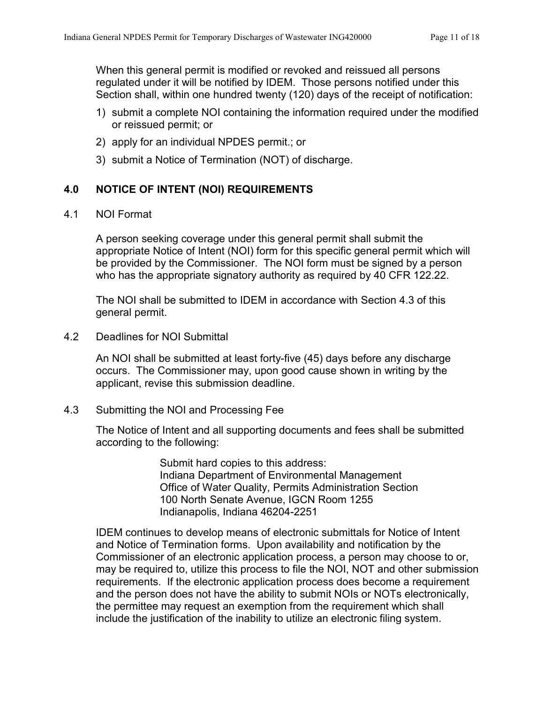When this general permit is modified or revoked and reissued all persons regulated under it will be notified by IDEM. Those persons notified under this Section shall, within one hundred twenty (120) days of the receipt of notification:

- 1) submit a complete NOI containing the information required under the modified or reissued permit; or
- 2) apply for an individual NPDES permit.; or
- 3) submit a Notice of Termination (NOT) of discharge.

# <span id="page-10-0"></span>**4.0 NOTICE OF INTENT (NOI) REQUIREMENTS**

## <span id="page-10-1"></span>4.1 NOI Format

A person seeking coverage under this general permit shall submit the appropriate Notice of Intent (NOI) form for this specific general permit which will be provided by the Commissioner. The NOI form must be signed by a person who has the appropriate signatory authority as required by 40 CFR 122.22.

The NOI shall be submitted to IDEM in accordance with Section 4.3 of this general permit.

<span id="page-10-2"></span>4.2 Deadlines for NOI Submittal

An NOI shall be submitted at least forty-five (45) days before any discharge occurs. The Commissioner may, upon good cause shown in writing by the applicant, revise this submission deadline.

<span id="page-10-3"></span>4.3 Submitting the NOI and Processing Fee

The Notice of Intent and all supporting documents and fees shall be submitted according to the following:

> Submit hard copies to this address: Indiana Department of Environmental Management Office of Water Quality, Permits Administration Section 100 North Senate Avenue, IGCN Room 1255 Indianapolis, Indiana 46204-2251

IDEM continues to develop means of electronic submittals for Notice of Intent and Notice of Termination forms. Upon availability and notification by the Commissioner of an electronic application process, a person may choose to or, may be required to, utilize this process to file the NOI, NOT and other submission requirements. If the electronic application process does become a requirement and the person does not have the ability to submit NOIs or NOTs electronically, the permittee may request an exemption from the requirement which shall include the justification of the inability to utilize an electronic filing system.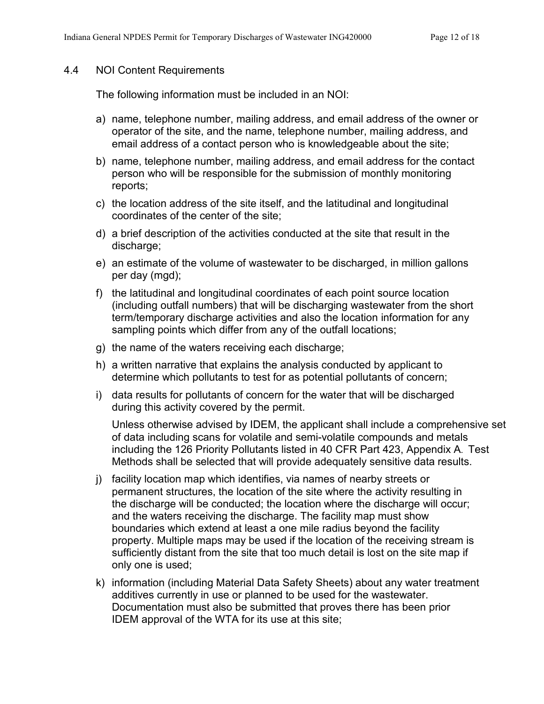#### <span id="page-11-0"></span>4.4 NOI Content Requirements

The following information must be included in an NOI:

- a) name, telephone number, mailing address, and email address of the owner or operator of the site, and the name, telephone number, mailing address, and email address of a contact person who is knowledgeable about the site;
- b) name, telephone number, mailing address, and email address for the contact person who will be responsible for the submission of monthly monitoring reports;
- c) the location address of the site itself, and the latitudinal and longitudinal coordinates of the center of the site;
- d) a brief description of the activities conducted at the site that result in the discharge;
- e) an estimate of the volume of wastewater to be discharged, in million gallons per day (mgd);
- f) the latitudinal and longitudinal coordinates of each point source location (including outfall numbers) that will be discharging wastewater from the short term/temporary discharge activities and also the location information for any sampling points which differ from any of the outfall locations;
- g) the name of the waters receiving each discharge;
- h) a written narrative that explains the analysis conducted by applicant to determine which pollutants to test for as potential pollutants of concern;
- i) data results for pollutants of concern for the water that will be discharged during this activity covered by the permit.

Unless otherwise advised by IDEM, the applicant shall include a comprehensive set of data including scans for volatile and semi-volatile compounds and metals including the 126 Priority Pollutants listed in 40 CFR Part 423, Appendix A. Test Methods shall be selected that will provide adequately sensitive data results.

- j) facility location map which identifies, via names of nearby streets or permanent structures, the location of the site where the activity resulting in the discharge will be conducted; the location where the discharge will occur; and the waters receiving the discharge. The facility map must show boundaries which extend at least a one mile radius beyond the facility property. Multiple maps may be used if the location of the receiving stream is sufficiently distant from the site that too much detail is lost on the site map if only one is used;
- k) information (including Material Data Safety Sheets) about any water treatment additives currently in use or planned to be used for the wastewater. Documentation must also be submitted that proves there has been prior IDEM approval of the WTA for its use at this site;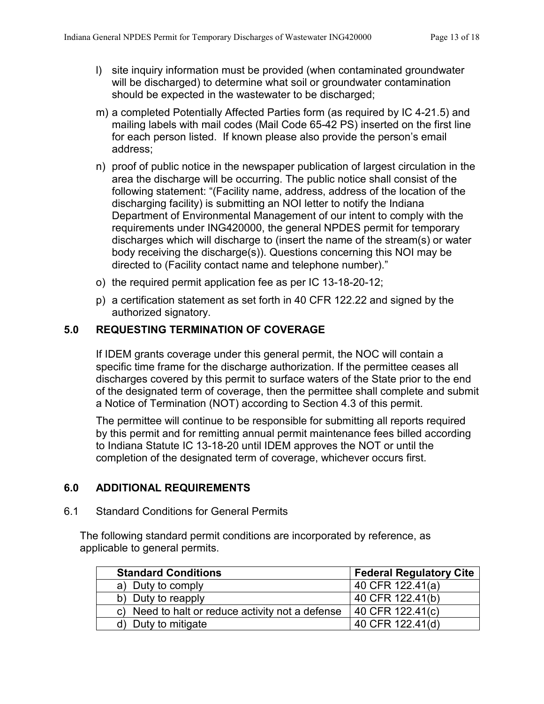- l) site inquiry information must be provided (when contaminated groundwater will be discharged) to determine what soil or groundwater contamination should be expected in the wastewater to be discharged;
- m) a completed Potentially Affected Parties form (as required by IC 4-21.5) and mailing labels with mail codes (Mail Code 65-42 PS) inserted on the first line for each person listed. If known please also provide the person's email address;
- n) proof of public notice in the newspaper publication of largest circulation in the area the discharge will be occurring. The public notice shall consist of the following statement: "(Facility name, address, address of the location of the discharging facility) is submitting an NOI letter to notify the Indiana Department of Environmental Management of our intent to comply with the requirements under ING420000, the general NPDES permit for temporary discharges which will discharge to (insert the name of the stream(s) or water body receiving the discharge(s)). Questions concerning this NOI may be directed to (Facility contact name and telephone number)."
- o) the required permit application fee as per IC 13-18-20-12;
- p) a certification statement as set forth in 40 CFR 122.22 and signed by the authorized signatory.

# <span id="page-12-0"></span>**5.0 REQUESTING TERMINATION OF COVERAGE**

If IDEM grants coverage under this general permit, the NOC will contain a specific time frame for the discharge authorization. If the permittee ceases all discharges covered by this permit to surface waters of the State prior to the end of the designated term of coverage, then the permittee shall complete and submit a Notice of Termination (NOT) according to Section 4.3 of this permit.

The permittee will continue to be responsible for submitting all reports required by this permit and for remitting annual permit maintenance fees billed according to Indiana Statute IC 13-18-20 until IDEM approves the NOT or until the completion of the designated term of coverage, whichever occurs first.

# <span id="page-12-1"></span>**6.0 ADDITIONAL REQUIREMENTS**

<span id="page-12-2"></span>6.1 Standard Conditions for General Permits

The following standard permit conditions are incorporated by reference, as applicable to general permits.

| <b>Standard Conditions</b>                       | <b>Federal Regulatory Cite</b> |
|--------------------------------------------------|--------------------------------|
| a) Duty to comply                                | 40 CFR 122.41(a)               |
| b) Duty to reapply                               | 40 CFR 122.41(b)               |
| c) Need to halt or reduce activity not a defense | 40 CFR 122.41(c)               |
| Duty to mitigate                                 | 40 CFR 122.41(d)               |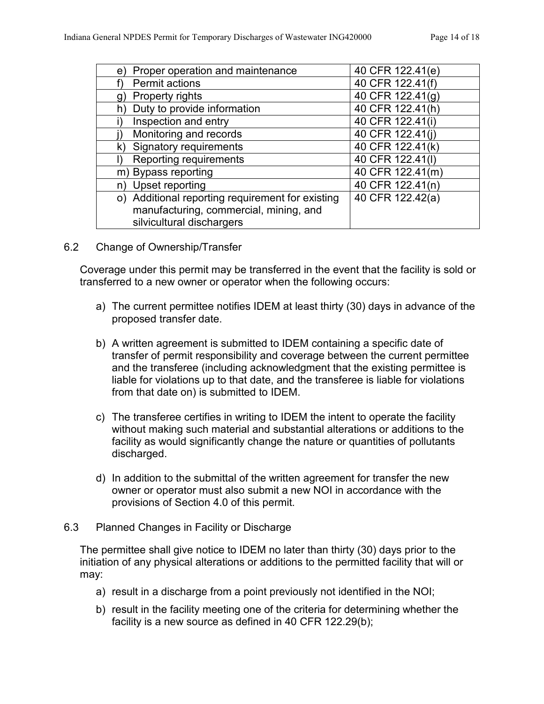| Proper operation and maintenance<br>e)           | 40 CFR 122.41(e) |
|--------------------------------------------------|------------------|
| Permit actions                                   | 40 CFR 122.41(f) |
| Property rights<br>g)                            | 40 CFR 122.41(g) |
| Duty to provide information<br>h)                | 40 CFR 122.41(h) |
| Inspection and entry                             | 40 CFR 122.41(i) |
| Monitoring and records                           | 40 CFR 122.41(i) |
| k) Signatory requirements                        | 40 CFR 122.41(k) |
| <b>Reporting requirements</b>                    | 40 CFR 122.41(l) |
| m) Bypass reporting                              | 40 CFR 122.41(m) |
| Upset reporting<br>n)                            | 40 CFR 122.41(n) |
| o) Additional reporting requirement for existing | 40 CFR 122.42(a) |
| manufacturing, commercial, mining, and           |                  |
| silvicultural dischargers                        |                  |

<span id="page-13-0"></span>6.2 Change of Ownership/Transfer

Coverage under this permit may be transferred in the event that the facility is sold or transferred to a new owner or operator when the following occurs:

- a) The current permittee notifies IDEM at least thirty (30) days in advance of the proposed transfer date.
- b) A written agreement is submitted to IDEM containing a specific date of transfer of permit responsibility and coverage between the current permittee and the transferee (including acknowledgment that the existing permittee is liable for violations up to that date, and the transferee is liable for violations from that date on) is submitted to IDEM.
- c) The transferee certifies in writing to IDEM the intent to operate the facility without making such material and substantial alterations or additions to the facility as would significantly change the nature or quantities of pollutants discharged.
- d) In addition to the submittal of the written agreement for transfer the new owner or operator must also submit a new NOI in accordance with the provisions of Section 4.0 of this permit.
- <span id="page-13-1"></span>6.3 Planned Changes in Facility or Discharge

The permittee shall give notice to IDEM no later than thirty (30) days prior to the initiation of any physical alterations or additions to the permitted facility that will or may:

- a) result in a discharge from a point previously not identified in the NOI;
- b) result in the facility meeting one of the criteria for determining whether the facility is a new source as defined in 40 CFR 122.29(b);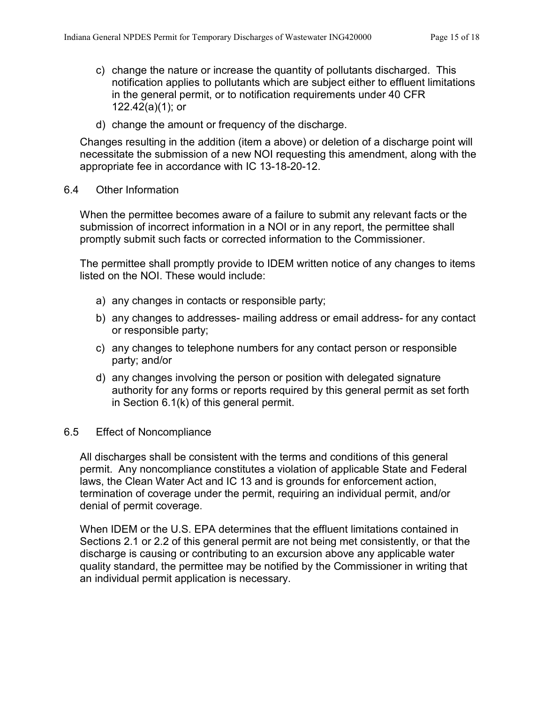- c) change the nature or increase the quantity of pollutants discharged. This notification applies to pollutants which are subject either to effluent limitations in the general permit, or to notification requirements under 40 CFR 122.42(a)(1); or
- d) change the amount or frequency of the discharge.

Changes resulting in the addition (item a above) or deletion of a discharge point will necessitate the submission of a new NOI requesting this amendment, along with the appropriate fee in accordance with IC 13-18-20-12.

#### <span id="page-14-0"></span>6.4 Other Information

When the permittee becomes aware of a failure to submit any relevant facts or the submission of incorrect information in a NOI or in any report, the permittee shall promptly submit such facts or corrected information to the Commissioner.

The permittee shall promptly provide to IDEM written notice of any changes to items listed on the NOI. These would include:

- a) any changes in contacts or responsible party;
- b) any changes to addresses- mailing address or email address- for any contact or responsible party;
- c) any changes to telephone numbers for any contact person or responsible party; and/or
- d) any changes involving the person or position with delegated signature authority for any forms or reports required by this general permit as set forth in Section 6.1(k) of this general permit.

#### <span id="page-14-1"></span>6.5 Effect of Noncompliance

All discharges shall be consistent with the terms and conditions of this general permit. Any noncompliance constitutes a violation of applicable State and Federal laws, the Clean Water Act and IC 13 and is grounds for enforcement action, termination of coverage under the permit, requiring an individual permit, and/or denial of permit coverage.

When IDEM or the U.S. EPA determines that the effluent limitations contained in Sections 2.1 or 2.2 of this general permit are not being met consistently, or that the discharge is causing or contributing to an excursion above any applicable water quality standard, the permittee may be notified by the Commissioner in writing that an individual permit application is necessary.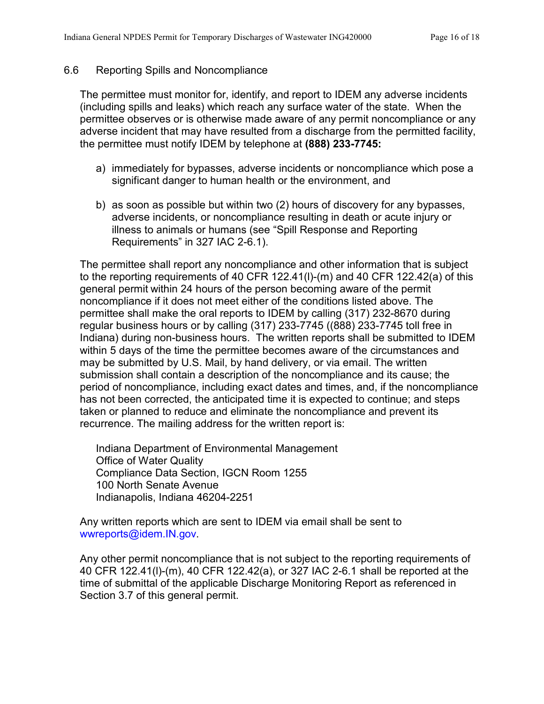## <span id="page-15-0"></span>6.6 Reporting Spills and Noncompliance

The permittee must monitor for, identify, and report to IDEM any adverse incidents (including spills and leaks) which reach any surface water of the state. When the permittee observes or is otherwise made aware of any permit noncompliance or any adverse incident that may have resulted from a discharge from the permitted facility, the permittee must notify IDEM by telephone at **(888) 233-7745:**

- a) immediately for bypasses, adverse incidents or noncompliance which pose a significant danger to human health or the environment, and
- b) as soon as possible but within two (2) hours of discovery for any bypasses, adverse incidents, or noncompliance resulting in death or acute injury or illness to animals or humans (see "Spill Response and Reporting Requirements" in 327 IAC 2-6.1).

The permittee shall report any noncompliance and other information that is subject to the reporting requirements of 40 CFR 122.41(l)-(m) and 40 CFR 122.42(a) of this general permit within 24 hours of the person becoming aware of the permit noncompliance if it does not meet either of the conditions listed above. The permittee shall make the oral reports to IDEM by calling (317) 232-8670 during regular business hours or by calling (317) 233-7745 ((888) 233-7745 toll free in Indiana) during non-business hours. The written reports shall be submitted to IDEM within 5 days of the time the permittee becomes aware of the circumstances and may be submitted by U.S. Mail, by hand delivery, or via email. The written submission shall contain a description of the noncompliance and its cause; the period of noncompliance, including exact dates and times, and, if the noncompliance has not been corrected, the anticipated time it is expected to continue; and steps taken or planned to reduce and eliminate the noncompliance and prevent its recurrence. The mailing address for the written report is:

Indiana Department of Environmental Management Office of Water Quality Compliance Data Section, IGCN Room 1255 100 North Senate Avenue Indianapolis, Indiana 46204-2251

Any written reports which are sent to IDEM via email shall be sent to [wwreports@idem.IN.gov.](mailto:wwreports@idem.IN.gov)

Any other permit noncompliance that is not subject to the reporting requirements of 40 CFR 122.41(l)-(m), 40 CFR 122.42(a), or 327 IAC 2-6.1 shall be reported at the time of submittal of the applicable Discharge Monitoring Report as referenced in Section 3.7 of this general permit.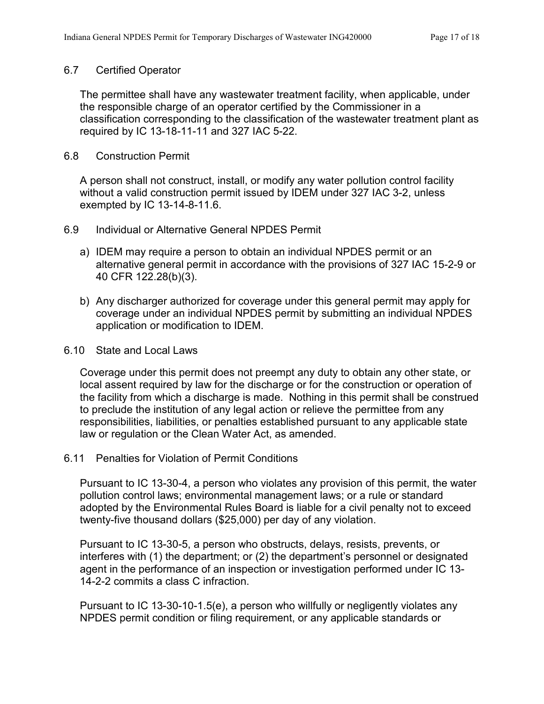#### <span id="page-16-0"></span>6.7 Certified Operator

The permittee shall have any wastewater treatment facility, when applicable, under the responsible charge of an operator certified by the Commissioner in a classification corresponding to the classification of the wastewater treatment plant as required by IC 13-18-11-11 and 327 IAC 5-22.

#### <span id="page-16-1"></span>6.8 Construction Permit

A person shall not construct, install, or modify any water pollution control facility without a valid construction permit issued by IDEM under 327 IAC 3-2, unless exempted by IC 13-14-8-11.6.

- <span id="page-16-2"></span>6.9 Individual or Alternative General NPDES Permit
	- a) IDEM may require a person to obtain an individual NPDES permit or an alternative general permit in accordance with the provisions of 327 IAC 15-2-9 or 40 CFR 122.28(b)(3).
	- b) Any discharger authorized for coverage under this general permit may apply for coverage under an individual NPDES permit by submitting an individual NPDES application or modification to IDEM.
- <span id="page-16-3"></span>6.10 State and Local Laws

Coverage under this permit does not preempt any duty to obtain any other state, or local assent required by law for the discharge or for the construction or operation of the facility from which a discharge is made. Nothing in this permit shall be construed to preclude the institution of any legal action or relieve the permittee from any responsibilities, liabilities, or penalties established pursuant to any applicable state law or regulation or the Clean Water Act, as amended.

<span id="page-16-4"></span>6.11 Penalties for Violation of Permit Conditions

Pursuant to IC 13-30-4, a person who violates any provision of this permit, the water pollution control laws; environmental management laws; or a rule or standard adopted by the Environmental Rules Board is liable for a civil penalty not to exceed twenty-five thousand dollars (\$25,000) per day of any violation.

Pursuant to IC 13-30-5, a person who obstructs, delays, resists, prevents, or interferes with (1) the department; or (2) the department's personnel or designated agent in the performance of an inspection or investigation performed under IC 13- 14-2-2 commits a class C infraction.

Pursuant to IC 13-30-10-1.5(e), a person who willfully or negligently violates any NPDES permit condition or filing requirement, or any applicable standards or